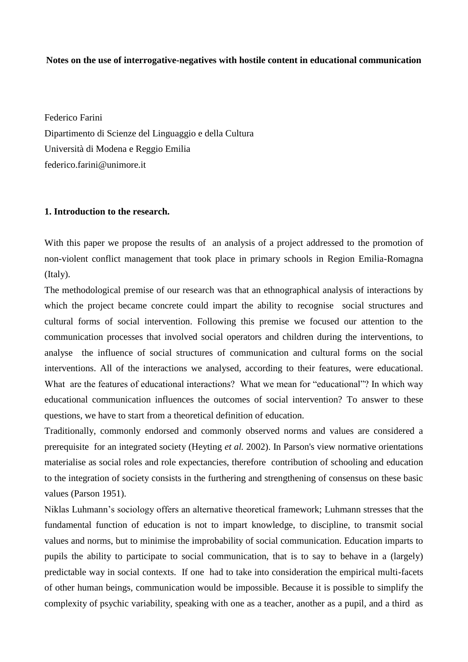## **Notes on the use of interrogative-negatives with hostile content in educational communication**

Federico Farini Dipartimento di Scienze del Linguaggio e della Cultura Università di Modena e Reggio Emilia federico.farini@unimore.it

## **1. Introduction to the research.**

With this paper we propose the results of an analysis of a project addressed to the promotion of non-violent conflict management that took place in primary schools in Region Emilia-Romagna (Italy).

The methodological premise of our research was that an ethnographical analysis of interactions by which the project became concrete could impart the ability to recognise social structures and cultural forms of social intervention. Following this premise we focused our attention to the communication processes that involved social operators and children during the interventions, to analyse the influence of social structures of communication and cultural forms on the social interventions. All of the interactions we analysed, according to their features, were educational. What are the features of educational interactions? What we mean for "educational"? In which way educational communication influences the outcomes of social intervention? To answer to these questions, we have to start from a theoretical definition of education.

Traditionally, commonly endorsed and commonly observed norms and values are considered a prerequisite for an integrated society (Heyting *et al.* 2002). In Parson's view normative orientations materialise as social roles and role expectancies, therefore contribution of schooling and education to the integration of society consists in the furthering and strengthening of consensus on these basic values (Parson 1951).

Niklas Luhmann's sociology offers an alternative theoretical framework; Luhmann stresses that the fundamental function of education is not to impart knowledge, to discipline, to transmit social values and norms, but to minimise the improbability of social communication. Education imparts to pupils the ability to participate to social communication, that is to say to behave in a (largely) predictable way in social contexts. If one had to take into consideration the empirical multi-facets of other human beings, communication would be impossible. Because it is possible to simplify the complexity of psychic variability, speaking with one as a teacher, another as a pupil, and a third as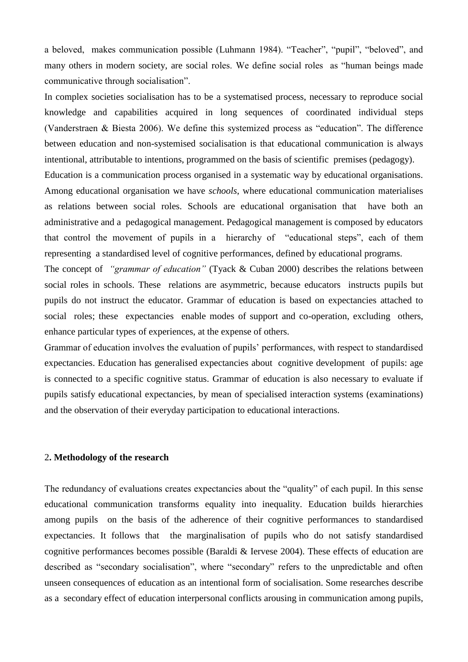a beloved, makes communication possible (Luhmann 1984). "Teacher", "pupil", "beloved", and many others in modern society, are social roles. We define social roles as "human beings made communicative through socialisation".

In complex societies socialisation has to be a systematised process, necessary to reproduce social knowledge and capabilities acquired in long sequences of coordinated individual steps (Vanderstraen & Biesta 2006). We define this systemized process as "education". The difference between education and non-systemised socialisation is that educational communication is always intentional, attributable to intentions, programmed on the basis of scientific premises (pedagogy).

Education is a communication process organised in a systematic way by educational organisations. Among educational organisation we have *schools*, where educational communication materialises as relations between social roles. Schools are educational organisation that have both an administrative and a pedagogical management. Pedagogical management is composed by educators that control the movement of pupils in a hierarchy of "educational steps", each of them representing a standardised level of cognitive performances, defined by educational programs.

The concept of *"grammar of education"* (Tyack & Cuban 2000) describes the relations between social roles in schools. These relations are asymmetric, because educators instructs pupils but pupils do not instruct the educator. Grammar of education is based on expectancies attached to social roles; these expectancies enable modes of support and co-operation, excluding others, enhance particular types of experiences, at the expense of others.

Grammar of education involves the evaluation of pupils' performances, with respect to standardised expectancies. Education has generalised expectancies about cognitive development of pupils: age is connected to a specific cognitive status. Grammar of education is also necessary to evaluate if pupils satisfy educational expectancies, by mean of specialised interaction systems (examinations) and the observation of their everyday participation to educational interactions.

## 2**. Methodology of the research**

The redundancy of evaluations creates expectancies about the "quality" of each pupil. In this sense educational communication transforms equality into inequality. Education builds hierarchies among pupils on the basis of the adherence of their cognitive performances to standardised expectancies. It follows that the marginalisation of pupils who do not satisfy standardised cognitive performances becomes possible (Baraldi & Iervese 2004). These effects of education are described as "secondary socialisation", where "secondary" refers to the unpredictable and often unseen consequences of education as an intentional form of socialisation. Some researches describe as a secondary effect of education interpersonal conflicts arousing in communication among pupils,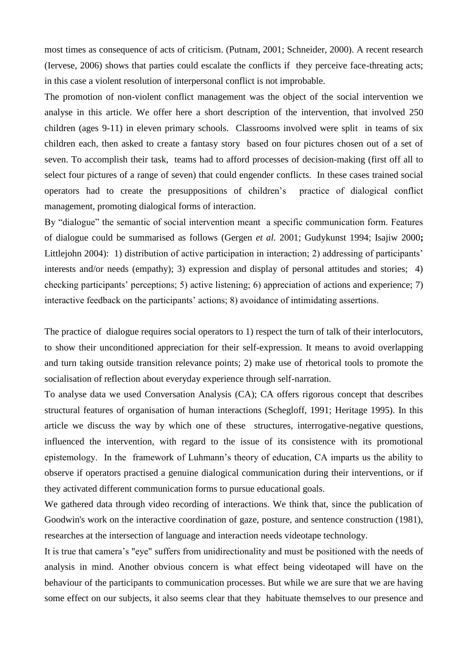most times as consequence of acts of criticism. (Putnam, 2001; Schneider, 2000). A recent research (Iervese, 2006) shows that parties could escalate the conflicts if they perceive face-threating acts; in this case a violent resolution of interpersonal conflict is not improbable.

The promotion of non-violent conflict management was the object of the social intervention we analyse in this article. We offer here a short description of the intervention, that involved 250 children (ages 9-11) in eleven primary schools. Classrooms involved were split in teams of six children each, then asked to create a fantasy story based on four pictures chosen out of a set of seven. To accomplish their task, teams had to afford processes of decision-making (first off all to select four pictures of a range of seven) that could engender conflicts. In these cases trained social operators had to create the presuppositions of children's practice of dialogical conflict management, promoting dialogical forms of interaction.

By "dialogue" the semantic of social intervention meant a specific communication form. Features of dialogue could be summarised as follows (Gergen *et al.* 2001; Gudykunst 1994; Isajiw 2000**;**  Littlejohn 2004): 1) distribution of active participation in interaction; 2) addressing of participants' interests and/or needs (empathy); 3) expression and display of personal attitudes and stories; 4) checking participants' perceptions; 5) active listening; 6) appreciation of actions and experience; 7) interactive feedback on the participants' actions; 8) avoidance of intimidating assertions.

The practice of dialogue requires social operators to 1) respect the turn of talk of their interlocutors, to show their unconditioned appreciation for their self-expression. It means to avoid overlapping and turn taking outside transition relevance points; 2) make use of rhetorical tools to promote the socialisation of reflection about everyday experience through self-narration.

To analyse data we used Conversation Analysis (CA); CA offers rigorous concept that describes structural features of organisation of human interactions (Schegloff, 1991; Heritage 1995). In this article we discuss the way by which one of these structures, interrogative-negative questions, influenced the intervention, with regard to the issue of its consistence with its promotional epistemology. In the framework of Luhmann's theory of education, CA imparts us the ability to observe if operators practised a genuine dialogical communication during their interventions, or if they activated different communication forms to pursue educational goals.

We gathered data through video recording of interactions. We think that, since the publication of Goodwin's work on the interactive coordination of gaze, posture, and sentence construction (1981), researches at the intersection of language and interaction needs videotape technology.

It is true that camera's "eye" suffers from unidirectionality and must be positioned with the needs of analysis in mind. Another obvious concern is what effect being videotaped will have on the behaviour of the participants to communication processes. But while we are sure that we are having some effect on our subjects, it also seems clear that they habituate themselves to our presence and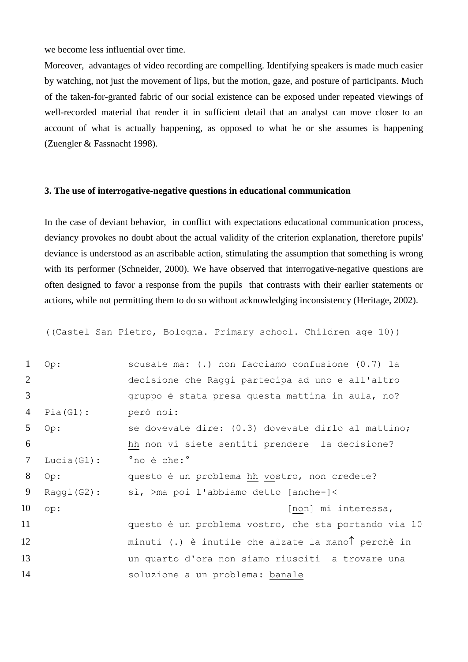we become less influential over time.

Moreover, advantages of video recording are compelling. Identifying speakers is made much easier by watching, not just the movement of lips, but the motion, gaze, and posture of participants. Much of the taken-for-granted fabric of our social existence can be exposed under repeated viewings of well-recorded material that render it in sufficient detail that an analyst can move closer to an account of what is actually happening, as opposed to what he or she assumes is happening (Zuengler & Fassnacht 1998).

# **3. The use of interrogative-negative questions in educational communication**

In the case of deviant behavior, in conflict with expectations educational communication process, deviancy provokes no doubt about the actual validity of the criterion explanation, therefore pupils' deviance is understood as an ascribable action, stimulating the assumption that something is wrong with its performer (Schneider, 2000). We have observed that interrogative-negative questions are often designed to favor a response from the pupils that contrasts with their earlier statements or actions, while not permitting them to do so without acknowledging inconsistency (Heritage, 2002).

((Castel San Pietro, Bologna. Primary school. Children age 10))

| $\mathbf{1}$ | Op:            | scusate ma: (.) non facciamo confusione (0.7) la     |
|--------------|----------------|------------------------------------------------------|
| 2            |                | decisione che Raggi partecipa ad uno e all'altro     |
| 3            |                | gruppo è stata presa questa mattina in aula, no?     |
| 4            | Pia(G1):       | però noi:                                            |
| 5            | Op:            | se dovevate dire: (0.3) dovevate dirlo al mattino;   |
| 6            |                | hh non vi siete sentiti prendere la decisione?       |
| 7            | Lucia $(G1)$ : | 'no è che:'                                          |
| 8            | Op:            | questo è un problema hh vostro, non credete?         |
| 9            | $Raggi(G2)$ :  | sì, >ma poi l'abbiamo detto [anche-]<                |
| 10           | op:            | [non] mi interessa,                                  |
| 11           |                | questo è un problema vostro, che sta portando via 10 |
| 12           |                | minuti (.) è inutile che alzate la manol perchè in   |
| 13           |                | un quarto d'ora non siamo riusciti a trovare una     |
| 14           |                | soluzione a un problema: banale                      |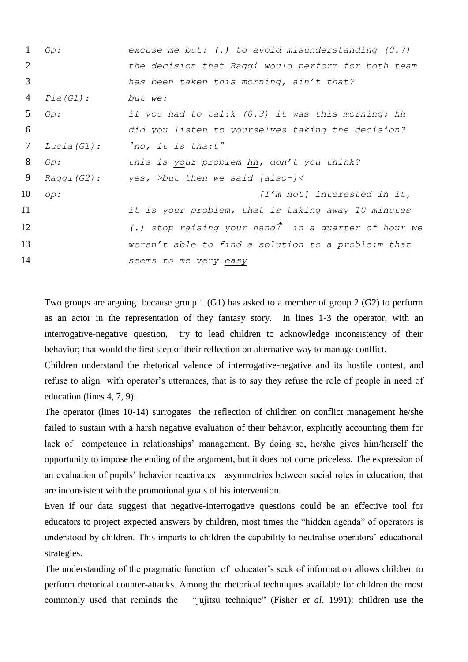| 1               | Op:         | excuse me but: $(.)$ to avoid misunderstanding $(0.7)$       |
|-----------------|-------------|--------------------------------------------------------------|
| 2               |             | the decision that Raggi would perform for both team          |
| 3               |             | has been taken this morning, ain't that?                     |
| 4               | $Pia(G1)$ : | but we:                                                      |
| 5               | Op:         | if you had to tal: $k$ (0.3) it was this morning; hh         |
| 6               |             | did you listen to yourselves taking the decision?            |
| $7\phantom{.0}$ | Lucia(G1):  | $^{\circ}$ no, it is tha:t $^{\circ}$                        |
| 8               | Op:         | this is your problem hh, don't you think?                    |
| 9               | Raggi (G2): | yes, >but then we said [also-]<                              |
| 10              | op:         | [I'm not] interested in it,                                  |
| 11              |             | it is your problem, that is taking away 10 minutes           |
| 12              |             | (.) stop raising your hand $\hat{I}$ in a quarter of hour we |
| 13              |             | weren't able to find a solution to a proble: m that          |
| 14              |             | seems to me very easy                                        |

Two groups are arguing because group 1 (G1) has asked to a member of group 2 (G2) to perform as an actor in the representation of they fantasy story. In lines 1-3 the operator, with an interrogative-negative question, try to lead children to acknowledge inconsistency of their behavior; that would the first step of their reflection on alternative way to manage conflict.

Children understand the rhetorical valence of interrogative-negative and its hostile contest, and refuse to align with operator's utterances, that is to say they refuse the role of people in need of education (lines 4, 7, 9).

The operator (lines 10-14) surrogates the reflection of children on conflict management he/she failed to sustain with a harsh negative evaluation of their behavior, explicitly accounting them for lack of competence in relationships' management. By doing so, he/she gives him/herself the opportunity to impose the ending of the argument, but it does not come priceless. The expression of an evaluation of pupils' behavior reactivates asymmetries between social roles in education, that are inconsistent with the promotional goals of his intervention.

Even if our data suggest that negative-interrogative questions could be an effective tool for educators to project expected answers by children, most times the "hidden agenda" of operators is understood by children. This imparts to children the capability to neutralise operators' educational strategies.

The understanding of the pragmatic function of educator's seek of information allows children to perform rhetorical counter-attacks. Among the rhetorical techniques available for children the most commonly used that reminds the "jujitsu technique" (Fisher *et al*. 1991): children use the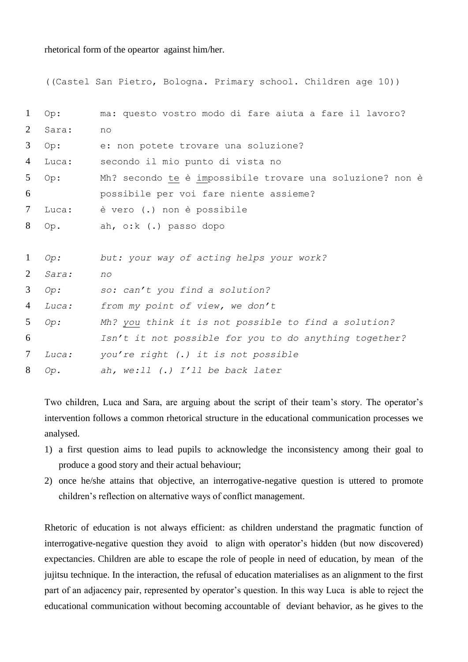rhetorical form of the opeartor against him/her.

```
((Castel San Pietro, Bologna. Primary school. Children age 10))
1 Op: ma: questo vostro modo di fare aiuta a fare il lavoro?
2 Sara: no
3 Op: e: non potete trovare una soluzione?
4 Luca: secondo il mio punto di vista no
5 Op: Mh? secondo te è impossibile trovare una soluzione? non è 
6 possibile per voi fare niente assieme?
7 Luca: è vero (.) non è possibile
8 Op. ah, o:k (.) passo dopo
1 Op: but: your way of acting helps your work?
2 Sara: no
3 Op: so: can't you find a solution?
4 Luca: from my point of view, we don't
5 Op: Mh? you think it is not possible to find a solution? 
6 Isn't it not possible for you to do anything together?
7 Luca: you're right (.) it is not possible
8 Op. ah, we:ll (.) I'll be back later
```
Two children, Luca and Sara, are arguing about the script of their team's story. The operator's intervention follows a common rhetorical structure in the educational communication processes we analysed.

- 1) a first question aims to lead pupils to acknowledge the inconsistency among their goal to produce a good story and their actual behaviour;
- 2) once he/she attains that objective, an interrogative-negative question is uttered to promote children's reflection on alternative ways of conflict management.

Rhetoric of education is not always efficient: as children understand the pragmatic function of interrogative-negative question they avoid to align with operator's hidden (but now discovered) expectancies. Children are able to escape the role of people in need of education, by mean of the jujitsu technique. In the interaction, the refusal of education materialises as an alignment to the first part of an adjacency pair, represented by operator's question. In this way Luca is able to reject the educational communication without becoming accountable of deviant behavior, as he gives to the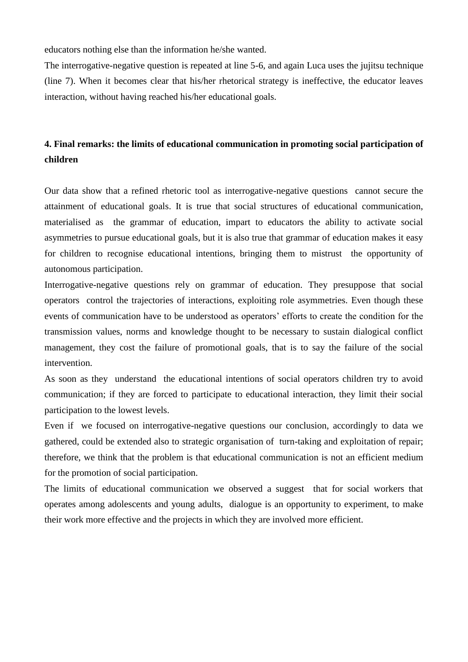educators nothing else than the information he/she wanted.

The interrogative-negative question is repeated at line 5-6, and again Luca uses the jujitsu technique (line 7). When it becomes clear that his/her rhetorical strategy is ineffective, the educator leaves interaction, without having reached his/her educational goals.

# **4. Final remarks: the limits of educational communication in promoting social participation of children**

Our data show that a refined rhetoric tool as interrogative-negative questions cannot secure the attainment of educational goals. It is true that social structures of educational communication, materialised as the grammar of education, impart to educators the ability to activate social asymmetries to pursue educational goals, but it is also true that grammar of education makes it easy for children to recognise educational intentions, bringing them to mistrust the opportunity of autonomous participation.

Interrogative-negative questions rely on grammar of education. They presuppose that social operators control the trajectories of interactions, exploiting role asymmetries. Even though these events of communication have to be understood as operators' efforts to create the condition for the transmission values, norms and knowledge thought to be necessary to sustain dialogical conflict management, they cost the failure of promotional goals, that is to say the failure of the social intervention.

As soon as they understand the educational intentions of social operators children try to avoid communication; if they are forced to participate to educational interaction, they limit their social participation to the lowest levels.

Even if we focused on interrogative-negative questions our conclusion, accordingly to data we gathered, could be extended also to strategic organisation of turn-taking and exploitation of repair; therefore, we think that the problem is that educational communication is not an efficient medium for the promotion of social participation.

The limits of educational communication we observed a suggest that for social workers that operates among adolescents and young adults, dialogue is an opportunity to experiment, to make their work more effective and the projects in which they are involved more efficient.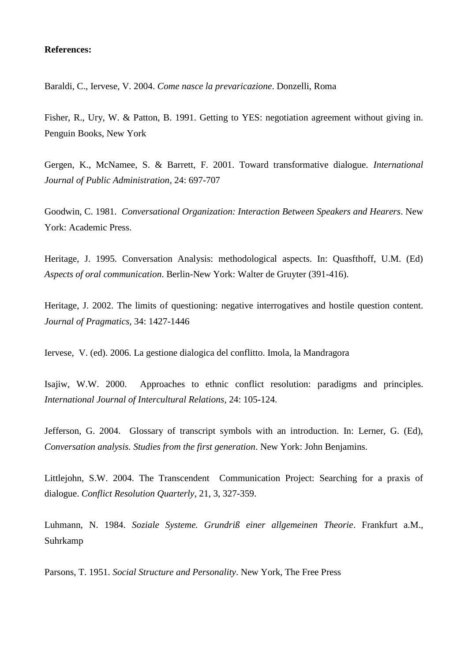### **References:**

Baraldi, C., Iervese, V. 2004. *Come nasce la prevaricazione*. Donzelli, Roma

Fisher, R., Ury, W. & Patton, B. 1991. Getting to YES: negotiation agreement without giving in. Penguin Books, New York

Gergen, K., McNamee, S. & Barrett, F. 2001. Toward transformative dialogue. *International Journal of Public Administration*, 24: 697-707

Goodwin, C. 1981. *Conversational Organization: Interaction Between Speakers and Hearers*. New York: Academic Press.

Heritage, J. 1995. Conversation Analysis: methodological aspects. In: Quasfthoff, U.M. (Ed) *Aspects of oral communication*. Berlin-New York: Walter de Gruyter (391-416).

Heritage, J. 2002. The limits of questioning: negative interrogatives and hostile question content. *Journal of Pragmatics*, 34: 1427-1446

Iervese, V. (ed). 2006. La gestione dialogica del conflitto. Imola, la Mandragora

Isajiw, W.W. 2000. Approaches to ethnic conflict resolution: paradigms and principles. *International Journal of Intercultural Relations*, 24: 105-124.

Jefferson, G. 2004. Glossary of transcript symbols with an introduction. In: Lerner, G. (Ed), *Conversation analysis. Studies from the first generation*. New York: John Benjamins.

Littlejohn, S.W. 2004. The Transcendent Communication Project: Searching for a praxis of dialogue. *Conflict Resolution Quarterly*, 21, 3, 327-359.

Luhmann, N. 1984. *Soziale Systeme. Grundriß einer allgemeinen Theorie*. Frankfurt a.M., Suhrkamp

Parsons, T. 1951. *Social Structure and Personality*. New York, The Free Press